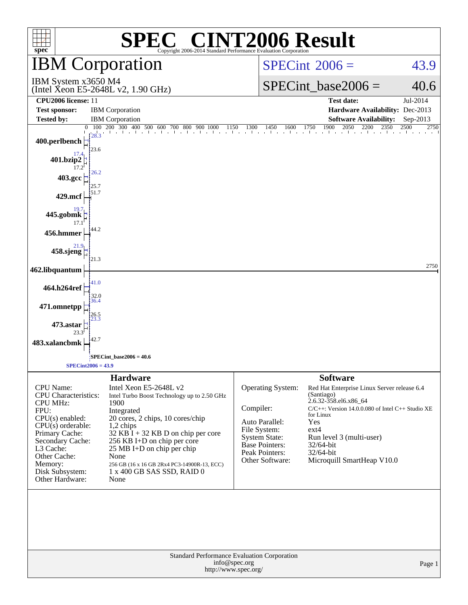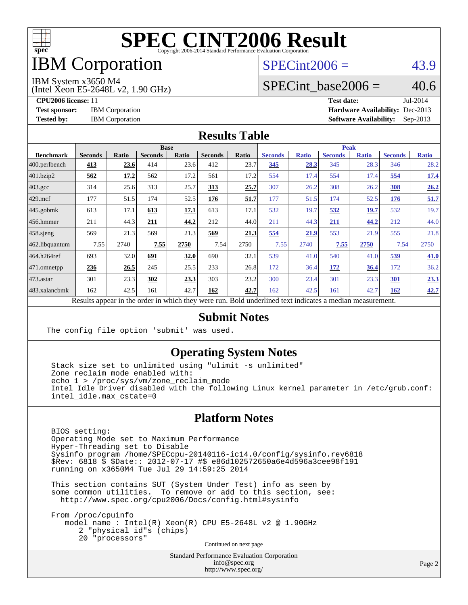

### IBM Corporation

#### $SPECint2006 = 43.9$  $SPECint2006 = 43.9$

IBM System x3650 M4

(Intel Xeon E5-2648L v2, 1.90 GHz)

SPECint base2006 =  $40.6$ 

**[CPU2006 license:](http://www.spec.org/auto/cpu2006/Docs/result-fields.html#CPU2006license)** 11 **[Test date:](http://www.spec.org/auto/cpu2006/Docs/result-fields.html#Testdate)** Jul-2014 **[Test sponsor:](http://www.spec.org/auto/cpu2006/Docs/result-fields.html#Testsponsor)** IBM Corporation **[Hardware Availability:](http://www.spec.org/auto/cpu2006/Docs/result-fields.html#HardwareAvailability)** Dec-2013 **[Tested by:](http://www.spec.org/auto/cpu2006/Docs/result-fields.html#Testedby)** IBM Corporation **[Software Availability:](http://www.spec.org/auto/cpu2006/Docs/result-fields.html#SoftwareAvailability)** Sep-2013

#### **[Results Table](http://www.spec.org/auto/cpu2006/Docs/result-fields.html#ResultsTable)**

|                                                                                                          | <b>Base</b>    |              |                |       |                |       | <b>Peak</b>    |              |                |              |                |              |
|----------------------------------------------------------------------------------------------------------|----------------|--------------|----------------|-------|----------------|-------|----------------|--------------|----------------|--------------|----------------|--------------|
| <b>Benchmark</b>                                                                                         | <b>Seconds</b> | <b>Ratio</b> | <b>Seconds</b> | Ratio | <b>Seconds</b> | Ratio | <b>Seconds</b> | <b>Ratio</b> | <b>Seconds</b> | <b>Ratio</b> | <b>Seconds</b> | <b>Ratio</b> |
| 400.perlbench                                                                                            | 413            | 23.6         | 414            | 23.6  | 412            | 23.7  | 345            | 28.3         | 345            | 28.3         | 346            | 28.2         |
| 401.bzip2                                                                                                | 562            | 17.2         | 562            | 17.2  | 561            | 17.2  | 554            | 17.4         | 554            | 17.4         | 554            | <u>17.4</u>  |
| $403.\mathrm{gcc}$                                                                                       | 314            | 25.6         | 313            | 25.7  | 313            | 25.7  | 307            | 26.2         | 308            | 26.2         | 308            | 26.2         |
| $429$ mcf                                                                                                | 177            | 51.5         | 174            | 52.5  | 176            | 51.7  | 177            | 51.5         | 174            | 52.5         | 176            | 51.7         |
| $445$ .gobmk                                                                                             | 613            | 17.1         | 613            | 17.1  | 613            | 17.1  | 532            | 19.7         | 532            | 19.7         | 532            | 19.7         |
| $456.$ hmmer                                                                                             | 211            | 44.3         | 211            | 44.2  | 212            | 44.0  | 211            | 44.3         | 211            | 44.2         | 212            | 44.0         |
| $458$ .sjeng                                                                                             | 569            | 21.3         | 569            | 21.3  | 569            | 21.3  | 554            | 21.9         | 553            | 21.9         | 555            | 21.8         |
| 462.libquantum                                                                                           | 7.55           | 2740         | 7.55           | 2750  | 7.54           | 2750  | 7.55           | 2740         | 7.55           | 2750         | 7.54           | 2750         |
| 464.h264ref                                                                                              | 693            | 32.0         | 691            | 32.0  | 690            | 32.1  | 539            | 41.0         | 540            | 41.0         | 539            | 41.0         |
| 471.omnetpp                                                                                              | 236            | 26.5         | 245            | 25.5  | 233            | 26.8  | 172            | 36.4         | 172            | 36.4         | 172            | 36.2         |
| $473$ . astar                                                                                            | 301            | 23.3         | 302            | 23.3  | 303            | 23.2  | 300            | 23.4         | 301            | 23.3         | 301            | 23.3         |
| 483.xalancbmk                                                                                            | 162            | 42.5         | 161            | 42.7  | 162            | 42.7  | 162            | 42.5         | 161            | 42.7         | 162            | 42.7         |
| Results appear in the order in which they were run. Bold underlined text indicates a median measurement. |                |              |                |       |                |       |                |              |                |              |                |              |

#### **[Submit Notes](http://www.spec.org/auto/cpu2006/Docs/result-fields.html#SubmitNotes)**

The config file option 'submit' was used.

#### **[Operating System Notes](http://www.spec.org/auto/cpu2006/Docs/result-fields.html#OperatingSystemNotes)**

 Stack size set to unlimited using "ulimit -s unlimited" Zone reclaim mode enabled with: echo 1 > /proc/sys/vm/zone reclaim mode Intel Idle Driver disabled with the following Linux kernel parameter in /etc/grub.conf: intel\_idle.max\_cstate=0

#### **[Platform Notes](http://www.spec.org/auto/cpu2006/Docs/result-fields.html#PlatformNotes)**

 BIOS setting: Operating Mode set to Maximum Performance Hyper-Threading set to Disable Sysinfo program /home/SPECcpu-20140116-ic14.0/config/sysinfo.rev6818 \$Rev: 6818 \$ \$Date:: 2012-07-17 #\$ e86d102572650a6e4d596a3cee98f191 running on x3650M4 Tue Jul 29 14:59:25 2014

 This section contains SUT (System Under Test) info as seen by some common utilities. To remove or add to this section, see: <http://www.spec.org/cpu2006/Docs/config.html#sysinfo>

 From /proc/cpuinfo model name : Intel(R) Xeon(R) CPU E5-2648L v2 @ 1.90GHz 2 "physical id"s (chips) 20 "processors" Continued on next page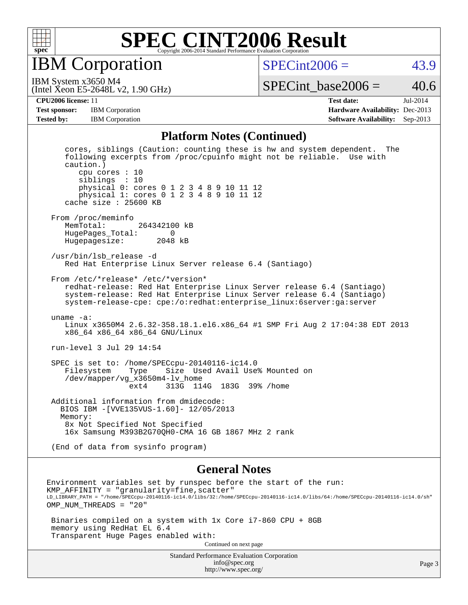

IBM Corporation

 $SPECint2006 = 43.9$  $SPECint2006 = 43.9$ 

(Intel Xeon E5-2648L v2, 1.90 GHz) IBM System x3650 M4

 $SPECTnt\_base2006 = 40.6$ 

**[CPU2006 license:](http://www.spec.org/auto/cpu2006/Docs/result-fields.html#CPU2006license)** 11 **[Test date:](http://www.spec.org/auto/cpu2006/Docs/result-fields.html#Testdate)** Jul-2014 **[Test sponsor:](http://www.spec.org/auto/cpu2006/Docs/result-fields.html#Testsponsor)** IBM Corporation **[Hardware Availability:](http://www.spec.org/auto/cpu2006/Docs/result-fields.html#HardwareAvailability)** Dec-2013 **[Tested by:](http://www.spec.org/auto/cpu2006/Docs/result-fields.html#Testedby)** IBM Corporation **[Software Availability:](http://www.spec.org/auto/cpu2006/Docs/result-fields.html#SoftwareAvailability)** Sep-2013

#### **[Platform Notes \(Continued\)](http://www.spec.org/auto/cpu2006/Docs/result-fields.html#PlatformNotes)**

| cores, siblings (Caution: counting these is hw and system dependent. The<br>following excerpts from /proc/cpuinfo might not be reliable. Use with<br>caution.)<br>cpu cores : 10<br>siblings : 10<br>physical 0: cores 0 1 2 3 4 8 9 10 11 12<br>physical 1: cores 0 1 2 3 4 8 9 10 11 12<br>cache size : 25600 KB |  |  |  |  |  |
|--------------------------------------------------------------------------------------------------------------------------------------------------------------------------------------------------------------------------------------------------------------------------------------------------------------------|--|--|--|--|--|
| From /proc/meminfo<br>MemTotal:<br>264342100 kB<br>HugePages_Total:<br>$\Omega$<br>Hugepagesize: 2048 kB                                                                                                                                                                                                           |  |  |  |  |  |
| /usr/bin/lsb release -d<br>Red Hat Enterprise Linux Server release 6.4 (Santiago)                                                                                                                                                                                                                                  |  |  |  |  |  |
| From /etc/*release* /etc/*version*<br>redhat-release: Red Hat Enterprise Linux Server release 6.4 (Santiago)<br>system-release: Red Hat Enterprise Linux Server release 6.4 (Santiago)<br>system-release-cpe: cpe:/o:redhat:enterprise_linux:6server:ga:server                                                     |  |  |  |  |  |
| uname $-a$ :<br>Linux x3650M4 2.6.32-358.18.1.el6.x86_64 #1 SMP Fri Aug 2 17:04:38 EDT 2013<br>x86_64 x86_64 x86_64 GNU/Linux                                                                                                                                                                                      |  |  |  |  |  |
| run-level 3 Jul 29 14:54                                                                                                                                                                                                                                                                                           |  |  |  |  |  |
| SPEC is set to: /home/SPECcpu-20140116-ic14.0<br>Type Size Used Avail Use% Mounted on<br>Filesystem<br>/dev/mapper/vg_x3650m4-lv_home<br>313G 114G 183G 39% / home<br>$ext{4}$                                                                                                                                     |  |  |  |  |  |
| Additional information from dmidecode:<br>BIOS IBM - [VVE135VUS-1.60]- 12/05/2013<br>Memory:<br>8x Not Specified Not Specified<br>16x Samsung M393B2G70QH0-CMA 16 GB 1867 MHz 2 rank                                                                                                                               |  |  |  |  |  |
| (End of data from sysinfo program)                                                                                                                                                                                                                                                                                 |  |  |  |  |  |
| <b>General Notes</b>                                                                                                                                                                                                                                                                                               |  |  |  |  |  |
| Environment variables set by runspec before the start of the run:<br>KMP AFFINITY = "granularity=fine, scatter"<br>LD_LIBRARY_PATH = "/home/SPECcpu-20140116-ic14.0/libs/32:/home/SPECcpu-20140116-ic14.0/libs/64:/home/SPECcpu-20140116-ic14.0/sh"<br>OMP NUM THREADS = "20"                                      |  |  |  |  |  |

 Binaries compiled on a system with 1x Core i7-860 CPU + 8GB memory using RedHat EL 6.4 Transparent Huge Pages enabled with:

Continued on next page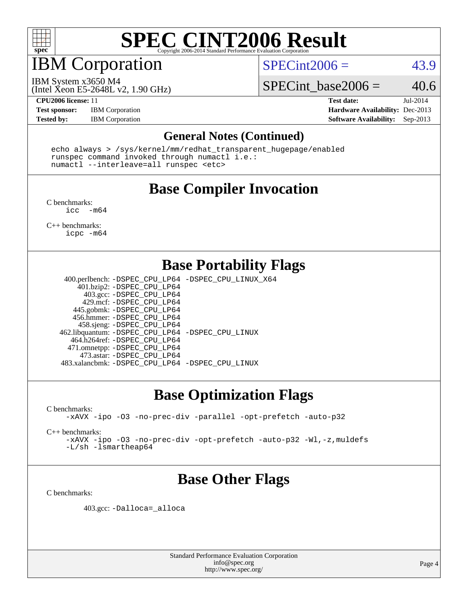

### IBM Corporation

 $SPECint2006 = 43.9$  $SPECint2006 = 43.9$ 

(Intel Xeon E5-2648L v2, 1.90 GHz) IBM System x3650 M4

SPECint base2006 =  $40.6$ 

**[Test sponsor:](http://www.spec.org/auto/cpu2006/Docs/result-fields.html#Testsponsor)** IBM Corporation **[Hardware Availability:](http://www.spec.org/auto/cpu2006/Docs/result-fields.html#HardwareAvailability)** Dec-2013

**[CPU2006 license:](http://www.spec.org/auto/cpu2006/Docs/result-fields.html#CPU2006license)** 11 **[Test date:](http://www.spec.org/auto/cpu2006/Docs/result-fields.html#Testdate)** Jul-2014 **[Tested by:](http://www.spec.org/auto/cpu2006/Docs/result-fields.html#Testedby)** IBM Corporation **[Software Availability:](http://www.spec.org/auto/cpu2006/Docs/result-fields.html#SoftwareAvailability)** Sep-2013

#### **[General Notes \(Continued\)](http://www.spec.org/auto/cpu2006/Docs/result-fields.html#GeneralNotes)**

 echo always > /sys/kernel/mm/redhat\_transparent\_hugepage/enabled runspec command invoked through numactl i.e.: numactl --interleave=all runspec <etc>

### **[Base Compiler Invocation](http://www.spec.org/auto/cpu2006/Docs/result-fields.html#BaseCompilerInvocation)**

[C benchmarks](http://www.spec.org/auto/cpu2006/Docs/result-fields.html#Cbenchmarks): [icc -m64](http://www.spec.org/cpu2006/results/res2014q3/cpu2006-20140731-30722.flags.html#user_CCbase_intel_icc_64bit_f346026e86af2a669e726fe758c88044)

[C++ benchmarks:](http://www.spec.org/auto/cpu2006/Docs/result-fields.html#CXXbenchmarks) [icpc -m64](http://www.spec.org/cpu2006/results/res2014q3/cpu2006-20140731-30722.flags.html#user_CXXbase_intel_icpc_64bit_fc66a5337ce925472a5c54ad6a0de310)

### **[Base Portability Flags](http://www.spec.org/auto/cpu2006/Docs/result-fields.html#BasePortabilityFlags)**

 400.perlbench: [-DSPEC\\_CPU\\_LP64](http://www.spec.org/cpu2006/results/res2014q3/cpu2006-20140731-30722.flags.html#b400.perlbench_basePORTABILITY_DSPEC_CPU_LP64) [-DSPEC\\_CPU\\_LINUX\\_X64](http://www.spec.org/cpu2006/results/res2014q3/cpu2006-20140731-30722.flags.html#b400.perlbench_baseCPORTABILITY_DSPEC_CPU_LINUX_X64) 401.bzip2: [-DSPEC\\_CPU\\_LP64](http://www.spec.org/cpu2006/results/res2014q3/cpu2006-20140731-30722.flags.html#suite_basePORTABILITY401_bzip2_DSPEC_CPU_LP64) 403.gcc: [-DSPEC\\_CPU\\_LP64](http://www.spec.org/cpu2006/results/res2014q3/cpu2006-20140731-30722.flags.html#suite_basePORTABILITY403_gcc_DSPEC_CPU_LP64) 429.mcf: [-DSPEC\\_CPU\\_LP64](http://www.spec.org/cpu2006/results/res2014q3/cpu2006-20140731-30722.flags.html#suite_basePORTABILITY429_mcf_DSPEC_CPU_LP64) 445.gobmk: [-DSPEC\\_CPU\\_LP64](http://www.spec.org/cpu2006/results/res2014q3/cpu2006-20140731-30722.flags.html#suite_basePORTABILITY445_gobmk_DSPEC_CPU_LP64) 456.hmmer: [-DSPEC\\_CPU\\_LP64](http://www.spec.org/cpu2006/results/res2014q3/cpu2006-20140731-30722.flags.html#suite_basePORTABILITY456_hmmer_DSPEC_CPU_LP64) 458.sjeng: [-DSPEC\\_CPU\\_LP64](http://www.spec.org/cpu2006/results/res2014q3/cpu2006-20140731-30722.flags.html#suite_basePORTABILITY458_sjeng_DSPEC_CPU_LP64) 462.libquantum: [-DSPEC\\_CPU\\_LP64](http://www.spec.org/cpu2006/results/res2014q3/cpu2006-20140731-30722.flags.html#suite_basePORTABILITY462_libquantum_DSPEC_CPU_LP64) [-DSPEC\\_CPU\\_LINUX](http://www.spec.org/cpu2006/results/res2014q3/cpu2006-20140731-30722.flags.html#b462.libquantum_baseCPORTABILITY_DSPEC_CPU_LINUX) 464.h264ref: [-DSPEC\\_CPU\\_LP64](http://www.spec.org/cpu2006/results/res2014q3/cpu2006-20140731-30722.flags.html#suite_basePORTABILITY464_h264ref_DSPEC_CPU_LP64) 471.omnetpp: [-DSPEC\\_CPU\\_LP64](http://www.spec.org/cpu2006/results/res2014q3/cpu2006-20140731-30722.flags.html#suite_basePORTABILITY471_omnetpp_DSPEC_CPU_LP64) 473.astar: [-DSPEC\\_CPU\\_LP64](http://www.spec.org/cpu2006/results/res2014q3/cpu2006-20140731-30722.flags.html#suite_basePORTABILITY473_astar_DSPEC_CPU_LP64) 483.xalancbmk: [-DSPEC\\_CPU\\_LP64](http://www.spec.org/cpu2006/results/res2014q3/cpu2006-20140731-30722.flags.html#suite_basePORTABILITY483_xalancbmk_DSPEC_CPU_LP64) [-DSPEC\\_CPU\\_LINUX](http://www.spec.org/cpu2006/results/res2014q3/cpu2006-20140731-30722.flags.html#b483.xalancbmk_baseCXXPORTABILITY_DSPEC_CPU_LINUX)

### **[Base Optimization Flags](http://www.spec.org/auto/cpu2006/Docs/result-fields.html#BaseOptimizationFlags)**

[C benchmarks](http://www.spec.org/auto/cpu2006/Docs/result-fields.html#Cbenchmarks):

[-xAVX](http://www.spec.org/cpu2006/results/res2014q3/cpu2006-20140731-30722.flags.html#user_CCbase_f-xAVX) [-ipo](http://www.spec.org/cpu2006/results/res2014q3/cpu2006-20140731-30722.flags.html#user_CCbase_f-ipo) [-O3](http://www.spec.org/cpu2006/results/res2014q3/cpu2006-20140731-30722.flags.html#user_CCbase_f-O3) [-no-prec-div](http://www.spec.org/cpu2006/results/res2014q3/cpu2006-20140731-30722.flags.html#user_CCbase_f-no-prec-div) [-parallel](http://www.spec.org/cpu2006/results/res2014q3/cpu2006-20140731-30722.flags.html#user_CCbase_f-parallel) [-opt-prefetch](http://www.spec.org/cpu2006/results/res2014q3/cpu2006-20140731-30722.flags.html#user_CCbase_f-opt-prefetch) [-auto-p32](http://www.spec.org/cpu2006/results/res2014q3/cpu2006-20140731-30722.flags.html#user_CCbase_f-auto-p32)

[C++ benchmarks:](http://www.spec.org/auto/cpu2006/Docs/result-fields.html#CXXbenchmarks)

[-xAVX](http://www.spec.org/cpu2006/results/res2014q3/cpu2006-20140731-30722.flags.html#user_CXXbase_f-xAVX) [-ipo](http://www.spec.org/cpu2006/results/res2014q3/cpu2006-20140731-30722.flags.html#user_CXXbase_f-ipo) [-O3](http://www.spec.org/cpu2006/results/res2014q3/cpu2006-20140731-30722.flags.html#user_CXXbase_f-O3) [-no-prec-div](http://www.spec.org/cpu2006/results/res2014q3/cpu2006-20140731-30722.flags.html#user_CXXbase_f-no-prec-div) [-opt-prefetch](http://www.spec.org/cpu2006/results/res2014q3/cpu2006-20140731-30722.flags.html#user_CXXbase_f-opt-prefetch) [-auto-p32](http://www.spec.org/cpu2006/results/res2014q3/cpu2006-20140731-30722.flags.html#user_CXXbase_f-auto-p32) [-Wl,-z,muldefs](http://www.spec.org/cpu2006/results/res2014q3/cpu2006-20140731-30722.flags.html#user_CXXbase_link_force_multiple1_74079c344b956b9658436fd1b6dd3a8a) [-L/sh -lsmartheap64](http://www.spec.org/cpu2006/results/res2014q3/cpu2006-20140731-30722.flags.html#user_CXXbase_SmartHeap64_ed4ef857ce90951921efb0d91eb88472)

### **[Base Other Flags](http://www.spec.org/auto/cpu2006/Docs/result-fields.html#BaseOtherFlags)**

[C benchmarks](http://www.spec.org/auto/cpu2006/Docs/result-fields.html#Cbenchmarks):

403.gcc: [-Dalloca=\\_alloca](http://www.spec.org/cpu2006/results/res2014q3/cpu2006-20140731-30722.flags.html#b403.gcc_baseEXTRA_CFLAGS_Dalloca_be3056838c12de2578596ca5467af7f3)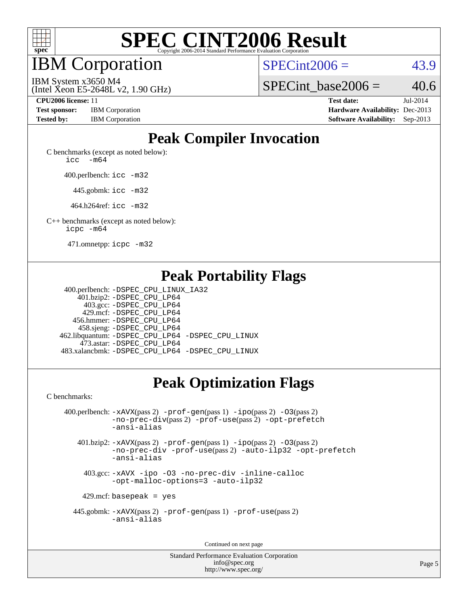

IBM Corporation

 $SPECint2006 = 43.9$  $SPECint2006 = 43.9$ 

(Intel Xeon E5-2648L v2, 1.90 GHz) IBM System x3650 M4

SPECint base2006 =  $40.6$ 

**[Test sponsor:](http://www.spec.org/auto/cpu2006/Docs/result-fields.html#Testsponsor)** IBM Corporation **[Hardware Availability:](http://www.spec.org/auto/cpu2006/Docs/result-fields.html#HardwareAvailability)** Dec-2013

**[CPU2006 license:](http://www.spec.org/auto/cpu2006/Docs/result-fields.html#CPU2006license)** 11 **[Test date:](http://www.spec.org/auto/cpu2006/Docs/result-fields.html#Testdate)** Jul-2014 **[Tested by:](http://www.spec.org/auto/cpu2006/Docs/result-fields.html#Testedby)** IBM Corporation **[Software Availability:](http://www.spec.org/auto/cpu2006/Docs/result-fields.html#SoftwareAvailability)** Sep-2013

### **[Peak Compiler Invocation](http://www.spec.org/auto/cpu2006/Docs/result-fields.html#PeakCompilerInvocation)**

[C benchmarks \(except as noted below\)](http://www.spec.org/auto/cpu2006/Docs/result-fields.html#Cbenchmarksexceptasnotedbelow): icc  $-m64$ 

400.perlbench: [icc -m32](http://www.spec.org/cpu2006/results/res2014q3/cpu2006-20140731-30722.flags.html#user_peakCCLD400_perlbench_intel_icc_a6a621f8d50482236b970c6ac5f55f93)

445.gobmk: [icc -m32](http://www.spec.org/cpu2006/results/res2014q3/cpu2006-20140731-30722.flags.html#user_peakCCLD445_gobmk_intel_icc_a6a621f8d50482236b970c6ac5f55f93)

464.h264ref: [icc -m32](http://www.spec.org/cpu2006/results/res2014q3/cpu2006-20140731-30722.flags.html#user_peakCCLD464_h264ref_intel_icc_a6a621f8d50482236b970c6ac5f55f93)

[C++ benchmarks \(except as noted below\):](http://www.spec.org/auto/cpu2006/Docs/result-fields.html#CXXbenchmarksexceptasnotedbelow) [icpc -m64](http://www.spec.org/cpu2006/results/res2014q3/cpu2006-20140731-30722.flags.html#user_CXXpeak_intel_icpc_64bit_fc66a5337ce925472a5c54ad6a0de310)

471.omnetpp: [icpc -m32](http://www.spec.org/cpu2006/results/res2014q3/cpu2006-20140731-30722.flags.html#user_peakCXXLD471_omnetpp_intel_icpc_4e5a5ef1a53fd332b3c49e69c3330699)

### **[Peak Portability Flags](http://www.spec.org/auto/cpu2006/Docs/result-fields.html#PeakPortabilityFlags)**

 400.perlbench: [-DSPEC\\_CPU\\_LINUX\\_IA32](http://www.spec.org/cpu2006/results/res2014q3/cpu2006-20140731-30722.flags.html#b400.perlbench_peakCPORTABILITY_DSPEC_CPU_LINUX_IA32) 401.bzip2: [-DSPEC\\_CPU\\_LP64](http://www.spec.org/cpu2006/results/res2014q3/cpu2006-20140731-30722.flags.html#suite_peakPORTABILITY401_bzip2_DSPEC_CPU_LP64) 403.gcc: [-DSPEC\\_CPU\\_LP64](http://www.spec.org/cpu2006/results/res2014q3/cpu2006-20140731-30722.flags.html#suite_peakPORTABILITY403_gcc_DSPEC_CPU_LP64) 429.mcf: [-DSPEC\\_CPU\\_LP64](http://www.spec.org/cpu2006/results/res2014q3/cpu2006-20140731-30722.flags.html#suite_peakPORTABILITY429_mcf_DSPEC_CPU_LP64) 456.hmmer: [-DSPEC\\_CPU\\_LP64](http://www.spec.org/cpu2006/results/res2014q3/cpu2006-20140731-30722.flags.html#suite_peakPORTABILITY456_hmmer_DSPEC_CPU_LP64) 458.sjeng: [-DSPEC\\_CPU\\_LP64](http://www.spec.org/cpu2006/results/res2014q3/cpu2006-20140731-30722.flags.html#suite_peakPORTABILITY458_sjeng_DSPEC_CPU_LP64) 462.libquantum: [-DSPEC\\_CPU\\_LP64](http://www.spec.org/cpu2006/results/res2014q3/cpu2006-20140731-30722.flags.html#suite_peakPORTABILITY462_libquantum_DSPEC_CPU_LP64) [-DSPEC\\_CPU\\_LINUX](http://www.spec.org/cpu2006/results/res2014q3/cpu2006-20140731-30722.flags.html#b462.libquantum_peakCPORTABILITY_DSPEC_CPU_LINUX) 473.astar: [-DSPEC\\_CPU\\_LP64](http://www.spec.org/cpu2006/results/res2014q3/cpu2006-20140731-30722.flags.html#suite_peakPORTABILITY473_astar_DSPEC_CPU_LP64) 483.xalancbmk: [-DSPEC\\_CPU\\_LP64](http://www.spec.org/cpu2006/results/res2014q3/cpu2006-20140731-30722.flags.html#suite_peakPORTABILITY483_xalancbmk_DSPEC_CPU_LP64) [-DSPEC\\_CPU\\_LINUX](http://www.spec.org/cpu2006/results/res2014q3/cpu2006-20140731-30722.flags.html#b483.xalancbmk_peakCXXPORTABILITY_DSPEC_CPU_LINUX)

### **[Peak Optimization Flags](http://www.spec.org/auto/cpu2006/Docs/result-fields.html#PeakOptimizationFlags)**

[C benchmarks](http://www.spec.org/auto/cpu2006/Docs/result-fields.html#Cbenchmarks):

 400.perlbench: [-xAVX](http://www.spec.org/cpu2006/results/res2014q3/cpu2006-20140731-30722.flags.html#user_peakPASS2_CFLAGSPASS2_LDCFLAGS400_perlbench_f-xAVX)(pass 2) [-prof-gen](http://www.spec.org/cpu2006/results/res2014q3/cpu2006-20140731-30722.flags.html#user_peakPASS1_CFLAGSPASS1_LDCFLAGS400_perlbench_prof_gen_e43856698f6ca7b7e442dfd80e94a8fc)(pass 1) [-ipo](http://www.spec.org/cpu2006/results/res2014q3/cpu2006-20140731-30722.flags.html#user_peakPASS2_CFLAGSPASS2_LDCFLAGS400_perlbench_f-ipo)(pass 2) [-O3](http://www.spec.org/cpu2006/results/res2014q3/cpu2006-20140731-30722.flags.html#user_peakPASS2_CFLAGSPASS2_LDCFLAGS400_perlbench_f-O3)(pass 2) [-no-prec-div](http://www.spec.org/cpu2006/results/res2014q3/cpu2006-20140731-30722.flags.html#user_peakPASS2_CFLAGSPASS2_LDCFLAGS400_perlbench_f-no-prec-div)(pass 2) [-prof-use](http://www.spec.org/cpu2006/results/res2014q3/cpu2006-20140731-30722.flags.html#user_peakPASS2_CFLAGSPASS2_LDCFLAGS400_perlbench_prof_use_bccf7792157ff70d64e32fe3e1250b55)(pass 2) [-opt-prefetch](http://www.spec.org/cpu2006/results/res2014q3/cpu2006-20140731-30722.flags.html#user_peakCOPTIMIZE400_perlbench_f-opt-prefetch) [-ansi-alias](http://www.spec.org/cpu2006/results/res2014q3/cpu2006-20140731-30722.flags.html#user_peakCOPTIMIZE400_perlbench_f-ansi-alias) 401.bzip2: [-xAVX](http://www.spec.org/cpu2006/results/res2014q3/cpu2006-20140731-30722.flags.html#user_peakPASS2_CFLAGSPASS2_LDCFLAGS401_bzip2_f-xAVX)(pass 2) [-prof-gen](http://www.spec.org/cpu2006/results/res2014q3/cpu2006-20140731-30722.flags.html#user_peakPASS1_CFLAGSPASS1_LDCFLAGS401_bzip2_prof_gen_e43856698f6ca7b7e442dfd80e94a8fc)(pass 1) [-ipo](http://www.spec.org/cpu2006/results/res2014q3/cpu2006-20140731-30722.flags.html#user_peakPASS2_CFLAGSPASS2_LDCFLAGS401_bzip2_f-ipo)(pass 2) [-O3](http://www.spec.org/cpu2006/results/res2014q3/cpu2006-20140731-30722.flags.html#user_peakPASS2_CFLAGSPASS2_LDCFLAGS401_bzip2_f-O3)(pass 2) [-no-prec-div](http://www.spec.org/cpu2006/results/res2014q3/cpu2006-20140731-30722.flags.html#user_peakCOPTIMIZEPASS2_CFLAGSPASS2_LDCFLAGS401_bzip2_f-no-prec-div) [-prof-use](http://www.spec.org/cpu2006/results/res2014q3/cpu2006-20140731-30722.flags.html#user_peakPASS2_CFLAGSPASS2_LDCFLAGS401_bzip2_prof_use_bccf7792157ff70d64e32fe3e1250b55)(pass 2) [-auto-ilp32](http://www.spec.org/cpu2006/results/res2014q3/cpu2006-20140731-30722.flags.html#user_peakCOPTIMIZE401_bzip2_f-auto-ilp32) [-opt-prefetch](http://www.spec.org/cpu2006/results/res2014q3/cpu2006-20140731-30722.flags.html#user_peakCOPTIMIZE401_bzip2_f-opt-prefetch) [-ansi-alias](http://www.spec.org/cpu2006/results/res2014q3/cpu2006-20140731-30722.flags.html#user_peakCOPTIMIZE401_bzip2_f-ansi-alias)

 403.gcc: [-xAVX](http://www.spec.org/cpu2006/results/res2014q3/cpu2006-20140731-30722.flags.html#user_peakCOPTIMIZE403_gcc_f-xAVX) [-ipo](http://www.spec.org/cpu2006/results/res2014q3/cpu2006-20140731-30722.flags.html#user_peakCOPTIMIZE403_gcc_f-ipo) [-O3](http://www.spec.org/cpu2006/results/res2014q3/cpu2006-20140731-30722.flags.html#user_peakCOPTIMIZE403_gcc_f-O3) [-no-prec-div](http://www.spec.org/cpu2006/results/res2014q3/cpu2006-20140731-30722.flags.html#user_peakCOPTIMIZE403_gcc_f-no-prec-div) [-inline-calloc](http://www.spec.org/cpu2006/results/res2014q3/cpu2006-20140731-30722.flags.html#user_peakCOPTIMIZE403_gcc_f-inline-calloc) [-opt-malloc-options=3](http://www.spec.org/cpu2006/results/res2014q3/cpu2006-20140731-30722.flags.html#user_peakCOPTIMIZE403_gcc_f-opt-malloc-options_13ab9b803cf986b4ee62f0a5998c2238) [-auto-ilp32](http://www.spec.org/cpu2006/results/res2014q3/cpu2006-20140731-30722.flags.html#user_peakCOPTIMIZE403_gcc_f-auto-ilp32)

 $429$ .mcf: basepeak = yes

 445.gobmk: [-xAVX](http://www.spec.org/cpu2006/results/res2014q3/cpu2006-20140731-30722.flags.html#user_peakPASS2_CFLAGSPASS2_LDCFLAGS445_gobmk_f-xAVX)(pass 2) [-prof-gen](http://www.spec.org/cpu2006/results/res2014q3/cpu2006-20140731-30722.flags.html#user_peakPASS1_CFLAGSPASS1_LDCFLAGS445_gobmk_prof_gen_e43856698f6ca7b7e442dfd80e94a8fc)(pass 1) [-prof-use](http://www.spec.org/cpu2006/results/res2014q3/cpu2006-20140731-30722.flags.html#user_peakPASS2_CFLAGSPASS2_LDCFLAGS445_gobmk_prof_use_bccf7792157ff70d64e32fe3e1250b55)(pass 2) [-ansi-alias](http://www.spec.org/cpu2006/results/res2014q3/cpu2006-20140731-30722.flags.html#user_peakCOPTIMIZE445_gobmk_f-ansi-alias)

Continued on next page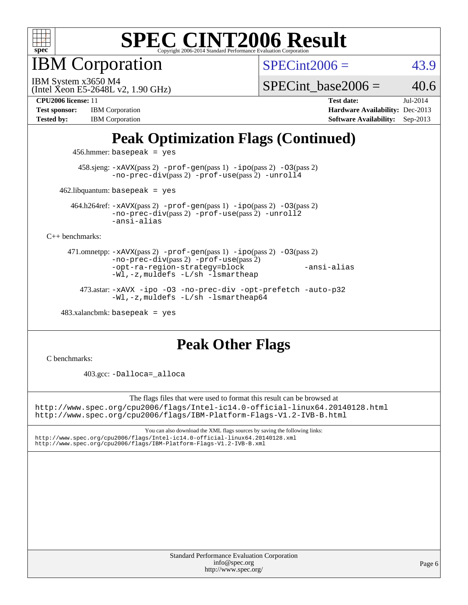

IBM Corporation

 $SPECint2006 = 43.9$  $SPECint2006 = 43.9$ 

(Intel Xeon E5-2648L v2, 1.90 GHz) IBM System x3650 M4

SPECint base2006 =  $40.6$ 

[Tested by:](http://www.spec.org/auto/cpu2006/Docs/result-fields.html#Testedby) IBM Corporation **[Software Availability:](http://www.spec.org/auto/cpu2006/Docs/result-fields.html#SoftwareAvailability)** Sep-2013

**[CPU2006 license:](http://www.spec.org/auto/cpu2006/Docs/result-fields.html#CPU2006license)** 11 **[Test date:](http://www.spec.org/auto/cpu2006/Docs/result-fields.html#Testdate)** Jul-2014 **[Test sponsor:](http://www.spec.org/auto/cpu2006/Docs/result-fields.html#Testsponsor)** IBM Corporation **[Hardware Availability:](http://www.spec.org/auto/cpu2006/Docs/result-fields.html#HardwareAvailability)** Dec-2013

## **[Peak Optimization Flags \(Continued\)](http://www.spec.org/auto/cpu2006/Docs/result-fields.html#PeakOptimizationFlags)**

456.hmmer: basepeak = yes

 458.sjeng: [-xAVX](http://www.spec.org/cpu2006/results/res2014q3/cpu2006-20140731-30722.flags.html#user_peakPASS2_CFLAGSPASS2_LDCFLAGS458_sjeng_f-xAVX)(pass 2) [-prof-gen](http://www.spec.org/cpu2006/results/res2014q3/cpu2006-20140731-30722.flags.html#user_peakPASS1_CFLAGSPASS1_LDCFLAGS458_sjeng_prof_gen_e43856698f6ca7b7e442dfd80e94a8fc)(pass 1) [-ipo](http://www.spec.org/cpu2006/results/res2014q3/cpu2006-20140731-30722.flags.html#user_peakPASS2_CFLAGSPASS2_LDCFLAGS458_sjeng_f-ipo)(pass 2) [-O3](http://www.spec.org/cpu2006/results/res2014q3/cpu2006-20140731-30722.flags.html#user_peakPASS2_CFLAGSPASS2_LDCFLAGS458_sjeng_f-O3)(pass 2) [-no-prec-div](http://www.spec.org/cpu2006/results/res2014q3/cpu2006-20140731-30722.flags.html#user_peakPASS2_CFLAGSPASS2_LDCFLAGS458_sjeng_f-no-prec-div)(pass 2) [-prof-use](http://www.spec.org/cpu2006/results/res2014q3/cpu2006-20140731-30722.flags.html#user_peakPASS2_CFLAGSPASS2_LDCFLAGS458_sjeng_prof_use_bccf7792157ff70d64e32fe3e1250b55)(pass 2) [-unroll4](http://www.spec.org/cpu2006/results/res2014q3/cpu2006-20140731-30722.flags.html#user_peakCOPTIMIZE458_sjeng_f-unroll_4e5e4ed65b7fd20bdcd365bec371b81f)

 $462$ .libquantum: basepeak = yes

 464.h264ref: [-xAVX](http://www.spec.org/cpu2006/results/res2014q3/cpu2006-20140731-30722.flags.html#user_peakPASS2_CFLAGSPASS2_LDCFLAGS464_h264ref_f-xAVX)(pass 2) [-prof-gen](http://www.spec.org/cpu2006/results/res2014q3/cpu2006-20140731-30722.flags.html#user_peakPASS1_CFLAGSPASS1_LDCFLAGS464_h264ref_prof_gen_e43856698f6ca7b7e442dfd80e94a8fc)(pass 1) [-ipo](http://www.spec.org/cpu2006/results/res2014q3/cpu2006-20140731-30722.flags.html#user_peakPASS2_CFLAGSPASS2_LDCFLAGS464_h264ref_f-ipo)(pass 2) [-O3](http://www.spec.org/cpu2006/results/res2014q3/cpu2006-20140731-30722.flags.html#user_peakPASS2_CFLAGSPASS2_LDCFLAGS464_h264ref_f-O3)(pass 2) [-no-prec-div](http://www.spec.org/cpu2006/results/res2014q3/cpu2006-20140731-30722.flags.html#user_peakPASS2_CFLAGSPASS2_LDCFLAGS464_h264ref_f-no-prec-div)(pass 2) [-prof-use](http://www.spec.org/cpu2006/results/res2014q3/cpu2006-20140731-30722.flags.html#user_peakPASS2_CFLAGSPASS2_LDCFLAGS464_h264ref_prof_use_bccf7792157ff70d64e32fe3e1250b55)(pass 2) [-unroll2](http://www.spec.org/cpu2006/results/res2014q3/cpu2006-20140731-30722.flags.html#user_peakCOPTIMIZE464_h264ref_f-unroll_784dae83bebfb236979b41d2422d7ec2) [-ansi-alias](http://www.spec.org/cpu2006/results/res2014q3/cpu2006-20140731-30722.flags.html#user_peakCOPTIMIZE464_h264ref_f-ansi-alias)

[C++ benchmarks:](http://www.spec.org/auto/cpu2006/Docs/result-fields.html#CXXbenchmarks)

 471.omnetpp: [-xAVX](http://www.spec.org/cpu2006/results/res2014q3/cpu2006-20140731-30722.flags.html#user_peakPASS2_CXXFLAGSPASS2_LDCXXFLAGS471_omnetpp_f-xAVX)(pass 2) [-prof-gen](http://www.spec.org/cpu2006/results/res2014q3/cpu2006-20140731-30722.flags.html#user_peakPASS1_CXXFLAGSPASS1_LDCXXFLAGS471_omnetpp_prof_gen_e43856698f6ca7b7e442dfd80e94a8fc)(pass 1) [-ipo](http://www.spec.org/cpu2006/results/res2014q3/cpu2006-20140731-30722.flags.html#user_peakPASS2_CXXFLAGSPASS2_LDCXXFLAGS471_omnetpp_f-ipo)(pass 2) [-O3](http://www.spec.org/cpu2006/results/res2014q3/cpu2006-20140731-30722.flags.html#user_peakPASS2_CXXFLAGSPASS2_LDCXXFLAGS471_omnetpp_f-O3)(pass 2) [-no-prec-div](http://www.spec.org/cpu2006/results/res2014q3/cpu2006-20140731-30722.flags.html#user_peakPASS2_CXXFLAGSPASS2_LDCXXFLAGS471_omnetpp_f-no-prec-div)(pass 2) [-prof-use](http://www.spec.org/cpu2006/results/res2014q3/cpu2006-20140731-30722.flags.html#user_peakPASS2_CXXFLAGSPASS2_LDCXXFLAGS471_omnetpp_prof_use_bccf7792157ff70d64e32fe3e1250b55)(pass 2) [-opt-ra-region-strategy=block](http://www.spec.org/cpu2006/results/res2014q3/cpu2006-20140731-30722.flags.html#user_peakCXXOPTIMIZE471_omnetpp_f-opt-ra-region-strategy_5382940c29ea30302d682fc74bfe0147) [-ansi-alias](http://www.spec.org/cpu2006/results/res2014q3/cpu2006-20140731-30722.flags.html#user_peakCXXOPTIMIZE471_omnetpp_f-ansi-alias) [-Wl,-z,muldefs](http://www.spec.org/cpu2006/results/res2014q3/cpu2006-20140731-30722.flags.html#user_peakEXTRA_LDFLAGS471_omnetpp_link_force_multiple1_74079c344b956b9658436fd1b6dd3a8a) [-L/sh -lsmartheap](http://www.spec.org/cpu2006/results/res2014q3/cpu2006-20140731-30722.flags.html#user_peakEXTRA_LIBS471_omnetpp_SmartHeap_32f6c82aa1ed9c52345d30cf6e4a0499)

 473.astar: [-xAVX](http://www.spec.org/cpu2006/results/res2014q3/cpu2006-20140731-30722.flags.html#user_peakCXXOPTIMIZE473_astar_f-xAVX) [-ipo](http://www.spec.org/cpu2006/results/res2014q3/cpu2006-20140731-30722.flags.html#user_peakCXXOPTIMIZE473_astar_f-ipo) [-O3](http://www.spec.org/cpu2006/results/res2014q3/cpu2006-20140731-30722.flags.html#user_peakCXXOPTIMIZE473_astar_f-O3) [-no-prec-div](http://www.spec.org/cpu2006/results/res2014q3/cpu2006-20140731-30722.flags.html#user_peakCXXOPTIMIZE473_astar_f-no-prec-div) [-opt-prefetch](http://www.spec.org/cpu2006/results/res2014q3/cpu2006-20140731-30722.flags.html#user_peakCXXOPTIMIZE473_astar_f-opt-prefetch) [-auto-p32](http://www.spec.org/cpu2006/results/res2014q3/cpu2006-20140731-30722.flags.html#user_peakCXXOPTIMIZE473_astar_f-auto-p32) [-Wl,-z,muldefs](http://www.spec.org/cpu2006/results/res2014q3/cpu2006-20140731-30722.flags.html#user_peakEXTRA_LDFLAGS473_astar_link_force_multiple1_74079c344b956b9658436fd1b6dd3a8a) [-L/sh -lsmartheap64](http://www.spec.org/cpu2006/results/res2014q3/cpu2006-20140731-30722.flags.html#user_peakEXTRA_LIBS473_astar_SmartHeap64_ed4ef857ce90951921efb0d91eb88472)

 $483.xalanchmk: basepeak = yes$ 

### **[Peak Other Flags](http://www.spec.org/auto/cpu2006/Docs/result-fields.html#PeakOtherFlags)**

[C benchmarks](http://www.spec.org/auto/cpu2006/Docs/result-fields.html#Cbenchmarks):

403.gcc: [-Dalloca=\\_alloca](http://www.spec.org/cpu2006/results/res2014q3/cpu2006-20140731-30722.flags.html#b403.gcc_peakEXTRA_CFLAGS_Dalloca_be3056838c12de2578596ca5467af7f3)

The flags files that were used to format this result can be browsed at <http://www.spec.org/cpu2006/flags/Intel-ic14.0-official-linux64.20140128.html> <http://www.spec.org/cpu2006/flags/IBM-Platform-Flags-V1.2-IVB-B.html>

You can also download the XML flags sources by saving the following links: <http://www.spec.org/cpu2006/flags/Intel-ic14.0-official-linux64.20140128.xml> <http://www.spec.org/cpu2006/flags/IBM-Platform-Flags-V1.2-IVB-B.xml>